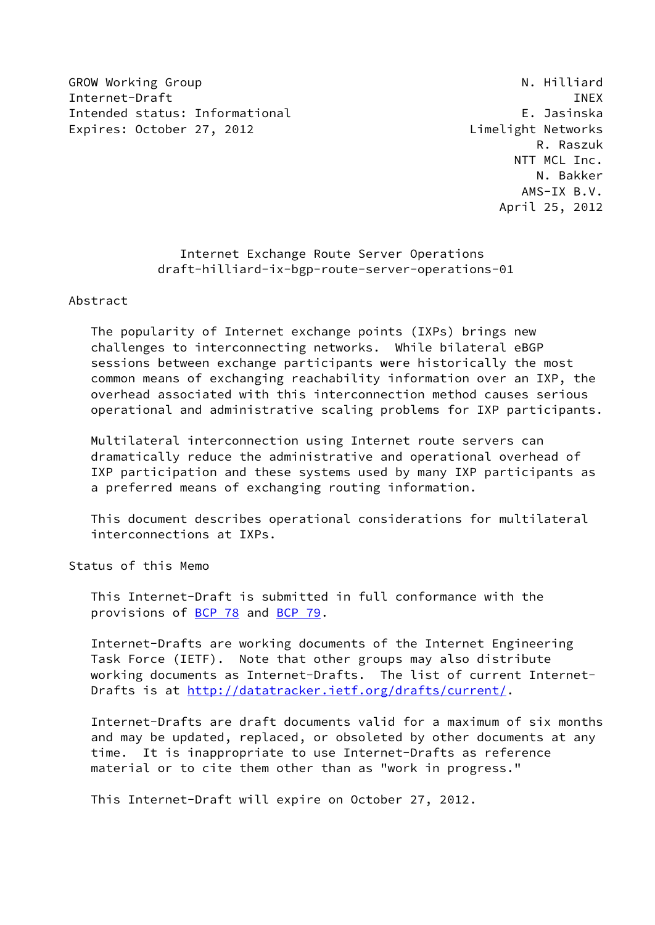GROW Working Group **N. Hilliard** N. Hilliard Internet-Draft **INEX** Intended status: Informational E. Jasinska Expires: October 27, 2012 Castro Limelight Networks

 R. Raszuk NTT MCL Inc. N. Bakker AMS-IX B.V. April 25, 2012

# Internet Exchange Route Server Operations draft-hilliard-ix-bgp-route-server-operations-01

Abstract

 The popularity of Internet exchange points (IXPs) brings new challenges to interconnecting networks. While bilateral eBGP sessions between exchange participants were historically the most common means of exchanging reachability information over an IXP, the overhead associated with this interconnection method causes serious operational and administrative scaling problems for IXP participants.

 Multilateral interconnection using Internet route servers can dramatically reduce the administrative and operational overhead of IXP participation and these systems used by many IXP participants as a preferred means of exchanging routing information.

 This document describes operational considerations for multilateral interconnections at IXPs.

Status of this Memo

 This Internet-Draft is submitted in full conformance with the provisions of [BCP 78](https://datatracker.ietf.org/doc/pdf/bcp78) and [BCP 79](https://datatracker.ietf.org/doc/pdf/bcp79).

 Internet-Drafts are working documents of the Internet Engineering Task Force (IETF). Note that other groups may also distribute working documents as Internet-Drafts. The list of current Internet Drafts is at<http://datatracker.ietf.org/drafts/current/>.

 Internet-Drafts are draft documents valid for a maximum of six months and may be updated, replaced, or obsoleted by other documents at any time. It is inappropriate to use Internet-Drafts as reference material or to cite them other than as "work in progress."

This Internet-Draft will expire on October 27, 2012.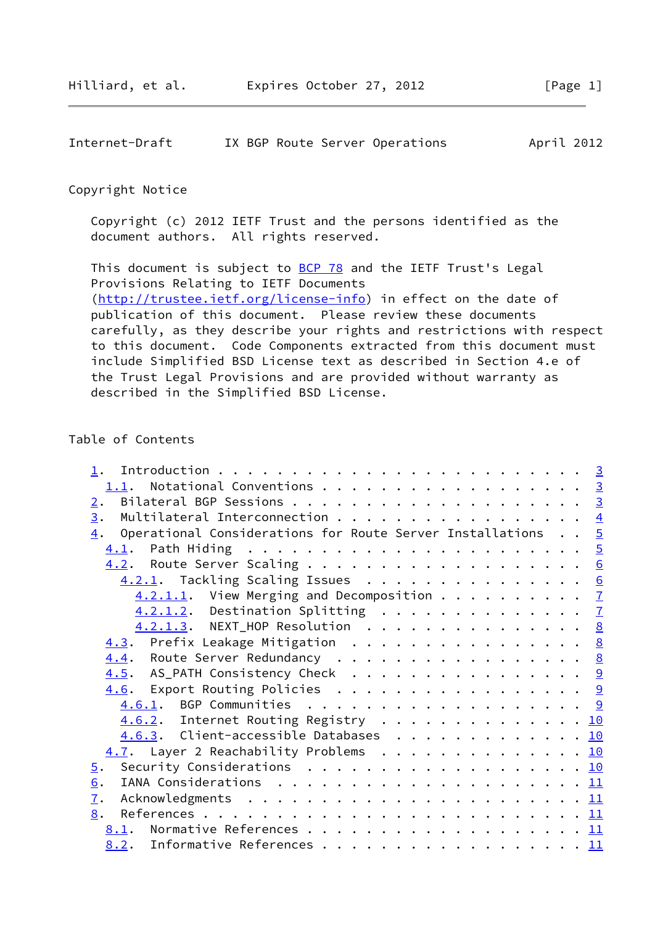| Internet-Draft |  |  |  |  | IX BGP Route Server Operations | April 2012 |  |
|----------------|--|--|--|--|--------------------------------|------------|--|
|----------------|--|--|--|--|--------------------------------|------------|--|

## Copyright Notice

 Copyright (c) 2012 IETF Trust and the persons identified as the document authors. All rights reserved.

This document is subject to **[BCP 78](https://datatracker.ietf.org/doc/pdf/bcp78)** and the IETF Trust's Legal Provisions Relating to IETF Documents [\(http://trustee.ietf.org/license-info](http://trustee.ietf.org/license-info)) in effect on the date of publication of this document. Please review these documents carefully, as they describe your rights and restrictions with respect to this document. Code Components extracted from this document must include Simplified BSD License text as described in Section 4.e of the Trust Legal Provisions and are provided without warranty as described in the Simplified BSD License.

# Table of Contents

| 1.1. Notational Conventions 3                                               |  |  |
|-----------------------------------------------------------------------------|--|--|
| 2.                                                                          |  |  |
| $\overline{3}$ .<br>Multilateral Interconnection $\frac{4}{5}$              |  |  |
| $\frac{4}{1}$ . Operational Considerations for Route Server Installations 5 |  |  |
|                                                                             |  |  |
|                                                                             |  |  |
| 4.2.1. Tackling Scaling Issues 6                                            |  |  |
| $4.2.1.1.$ View Merging and Decomposition $7$                               |  |  |
| 4.2.1.2. Destination Splitting 7                                            |  |  |
| 4.2.1.3. NEXT_HOP Resolution 8                                              |  |  |
| 4.3. Prefix Leakage Mitigation 8                                            |  |  |
| 4.4. Route Server Redundancy 8                                              |  |  |
| 4.5. AS_PATH Consistency Check 9                                            |  |  |
| 4.6. Export Routing Policies 9                                              |  |  |
| <u>4.6.1</u> . BGP Communities <u>9</u>                                     |  |  |
| 4.6.2. Internet Routing Registry 10                                         |  |  |
| 4.6.3. Client-accessible Databases 10                                       |  |  |
| 4.7. Layer 2 Reachability Problems 10                                       |  |  |
| Security Considerations $\ldots$ 10                                         |  |  |
| $\overline{5}$ .                                                            |  |  |
| 6.                                                                          |  |  |
| $\overline{1}$ .                                                            |  |  |
| 8.                                                                          |  |  |
| 8.1. Normative References 11                                                |  |  |
| 8.2. Informative References 11                                              |  |  |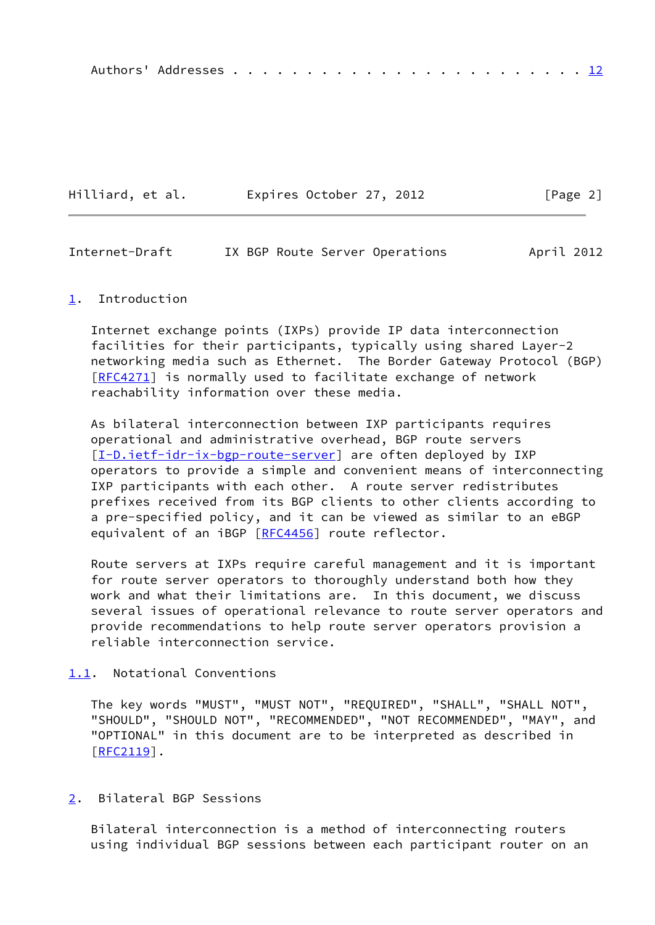|--|--|--|--|--|--|--|--|--|--|--|--|--|--|--|--|--|--|--|--|--|--|--|--|--|--|--|

| Hilliard, et al. | Expires October 27, 2012 | [Page 2] |
|------------------|--------------------------|----------|
|------------------|--------------------------|----------|

<span id="page-2-1"></span>

| Internet-Draft |  |  |  | IX BGP Route Server Operations | April 2012 |
|----------------|--|--|--|--------------------------------|------------|
|----------------|--|--|--|--------------------------------|------------|

### <span id="page-2-0"></span>[1](#page-2-0). Introduction

 Internet exchange points (IXPs) provide IP data interconnection facilities for their participants, typically using shared Layer-2 networking media such as Ethernet. The Border Gateway Protocol (BGP) [\[RFC4271](https://datatracker.ietf.org/doc/pdf/rfc4271)] is normally used to facilitate exchange of network reachability information over these media.

 As bilateral interconnection between IXP participants requires operational and administrative overhead, BGP route servers [\[I-D.ietf-idr-ix-bgp-route-server](#page-11-6)] are often deployed by IXP operators to provide a simple and convenient means of interconnecting IXP participants with each other. A route server redistributes prefixes received from its BGP clients to other clients according to a pre-specified policy, and it can be viewed as similar to an eBGP equivalent of an iBGP [[RFC4456](https://datatracker.ietf.org/doc/pdf/rfc4456)] route reflector.

 Route servers at IXPs require careful management and it is important for route server operators to thoroughly understand both how they work and what their limitations are. In this document, we discuss several issues of operational relevance to route server operators and provide recommendations to help route server operators provision a reliable interconnection service.

# <span id="page-2-2"></span>[1.1](#page-2-2). Notational Conventions

 The key words "MUST", "MUST NOT", "REQUIRED", "SHALL", "SHALL NOT", "SHOULD", "SHOULD NOT", "RECOMMENDED", "NOT RECOMMENDED", "MAY", and "OPTIONAL" in this document are to be interpreted as described in  $[REC2119]$ .

#### <span id="page-2-3"></span>[2](#page-2-3). Bilateral BGP Sessions

 Bilateral interconnection is a method of interconnecting routers using individual BGP sessions between each participant router on an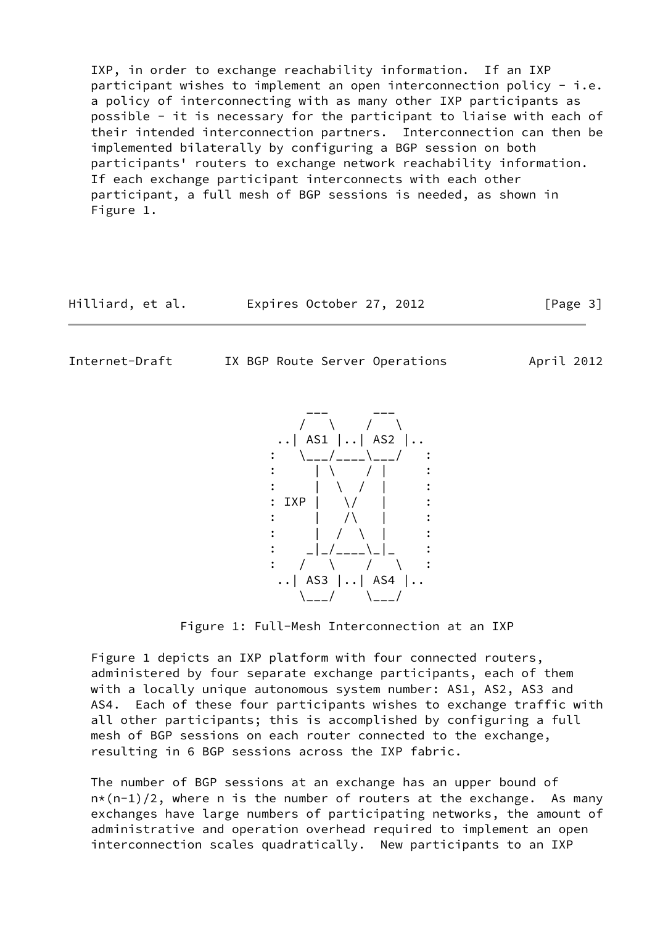IXP, in order to exchange reachability information. If an IXP participant wishes to implement an open interconnection policy - i.e. a policy of interconnecting with as many other IXP participants as possible - it is necessary for the participant to liaise with each of their intended interconnection partners. Interconnection can then be implemented bilaterally by configuring a BGP session on both participants' routers to exchange network reachability information. If each exchange participant interconnects with each other participant, a full mesh of BGP sessions is needed, as shown in Figure 1.

Hilliard, et al. Expires October 27, 2012 [Page 3]

<span id="page-3-0"></span>

Internet-Draft IX BGP Route Server Operations April 2012



Figure 1: Full-Mesh Interconnection at an IXP

 Figure 1 depicts an IXP platform with four connected routers, administered by four separate exchange participants, each of them with a locally unique autonomous system number: AS1, AS2, AS3 and AS4. Each of these four participants wishes to exchange traffic with all other participants; this is accomplished by configuring a full mesh of BGP sessions on each router connected to the exchange, resulting in 6 BGP sessions across the IXP fabric.

 The number of BGP sessions at an exchange has an upper bound of  $n*(n-1)/2$ , where n is the number of routers at the exchange. As many exchanges have large numbers of participating networks, the amount of administrative and operation overhead required to implement an open interconnection scales quadratically. New participants to an IXP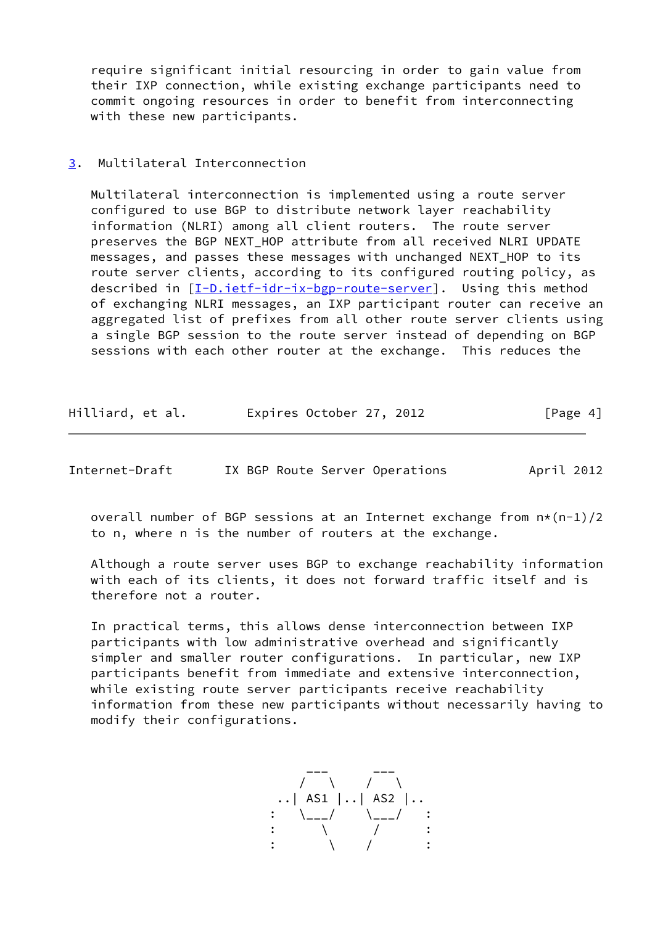require significant initial resourcing in order to gain value from their IXP connection, while existing exchange participants need to commit ongoing resources in order to benefit from interconnecting with these new participants.

## <span id="page-4-0"></span>[3](#page-4-0). Multilateral Interconnection

 Multilateral interconnection is implemented using a route server configured to use BGP to distribute network layer reachability information (NLRI) among all client routers. The route server preserves the BGP NEXT\_HOP attribute from all received NLRI UPDATE messages, and passes these messages with unchanged NEXT HOP to its route server clients, according to its configured routing policy, as described in [\[I-D.ietf-idr-ix-bgp-route-server](#page-11-6)]. Using this method of exchanging NLRI messages, an IXP participant router can receive an aggregated list of prefixes from all other route server clients using a single BGP session to the route server instead of depending on BGP sessions with each other router at the exchange. This reduces the

| Hilliard, et al. | Expires October 27, 2012 |  | [Page 4] |
|------------------|--------------------------|--|----------|
|------------------|--------------------------|--|----------|

<span id="page-4-1"></span>Internet-Draft IX BGP Route Server Operations April 2012

overall number of BGP sessions at an Internet exchange from  $n*(n-1)/2$ to n, where n is the number of routers at the exchange.

 Although a route server uses BGP to exchange reachability information with each of its clients, it does not forward traffic itself and is therefore not a router.

 In practical terms, this allows dense interconnection between IXP participants with low administrative overhead and significantly simpler and smaller router configurations. In particular, new IXP participants benefit from immediate and extensive interconnection, while existing route server participants receive reachability information from these new participants without necessarily having to modify their configurations.

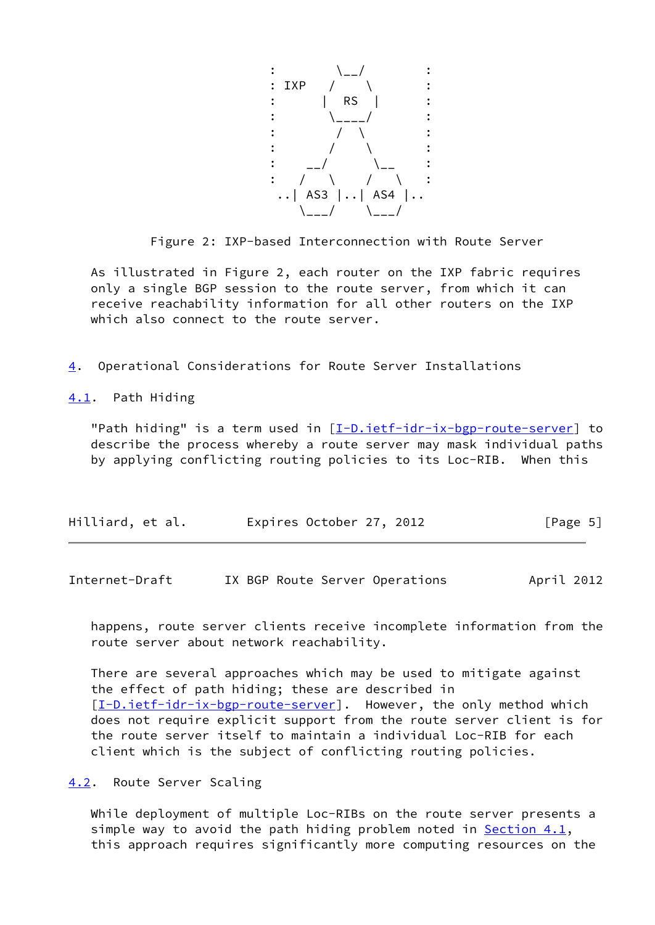

Figure 2: IXP-based Interconnection with Route Server

 As illustrated in Figure 2, each router on the IXP fabric requires only a single BGP session to the route server, from which it can receive reachability information for all other routers on the IXP which also connect to the route server.

<span id="page-5-0"></span>[4](#page-5-0). Operational Considerations for Route Server Installations

<span id="page-5-1"></span>[4.1](#page-5-1). Path Hiding

"Path hiding" is a term used in [\[I-D.ietf-idr-ix-bgp-route-server](#page-11-6)] to describe the process whereby a route server may mask individual paths by applying conflicting routing policies to its Loc-RIB. When this

| Hilliard, et al. | Expires October 27, 2012 | [Page 5] |
|------------------|--------------------------|----------|
|                  |                          |          |

<span id="page-5-3"></span>Internet-Draft IX BGP Route Server Operations April 2012

 happens, route server clients receive incomplete information from the route server about network reachability.

 There are several approaches which may be used to mitigate against the effect of path hiding; these are described in [\[I-D.ietf-idr-ix-bgp-route-server](#page-11-6)]. However, the only method which does not require explicit support from the route server client is for the route server itself to maintain a individual Loc-RIB for each client which is the subject of conflicting routing policies.

<span id="page-5-2"></span>[4.2](#page-5-2). Route Server Scaling

 While deployment of multiple Loc-RIBs on the route server presents a simple way to avoid the path hiding problem noted in Section  $4.1$ , this approach requires significantly more computing resources on the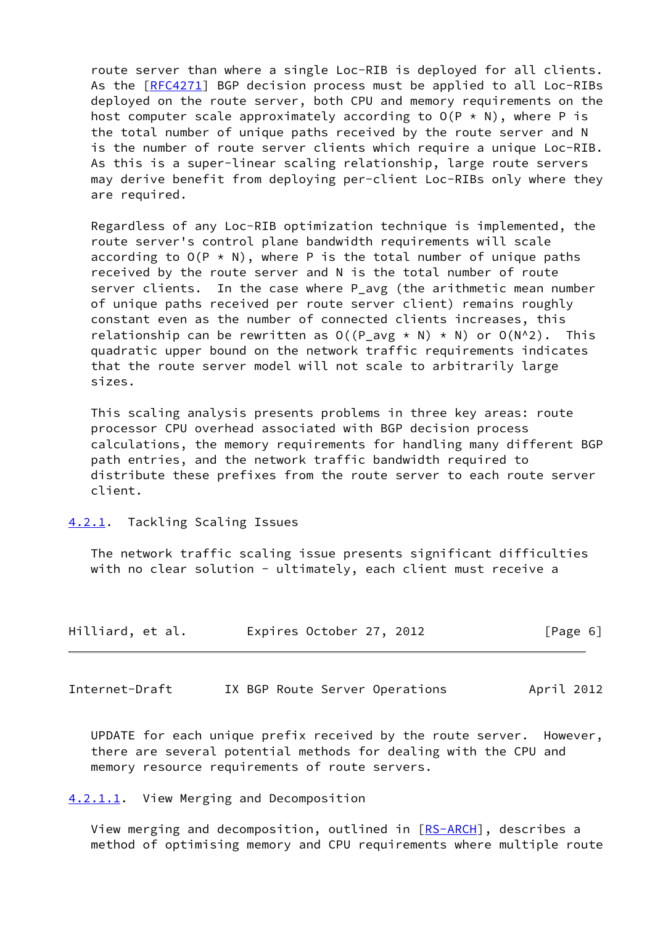route server than where a single Loc-RIB is deployed for all clients. As the [\[RFC4271](https://datatracker.ietf.org/doc/pdf/rfc4271)] BGP decision process must be applied to all Loc-RIBs deployed on the route server, both CPU and memory requirements on the host computer scale approximately according to  $O(P * N)$ , where P is the total number of unique paths received by the route server and N is the number of route server clients which require a unique Loc-RIB. As this is a super-linear scaling relationship, large route servers may derive benefit from deploying per-client Loc-RIBs only where they are required.

 Regardless of any Loc-RIB optimization technique is implemented, the route server's control plane bandwidth requirements will scale according to  $O(P \times N)$ , where P is the total number of unique paths received by the route server and N is the total number of route server clients. In the case where P\_avg (the arithmetic mean number of unique paths received per route server client) remains roughly constant even as the number of connected clients increases, this relationship can be rewritten as  $O((P_avg * N) * N)$  or  $O(N^2)$ . This quadratic upper bound on the network traffic requirements indicates that the route server model will not scale to arbitrarily large sizes.

 This scaling analysis presents problems in three key areas: route processor CPU overhead associated with BGP decision process calculations, the memory requirements for handling many different BGP path entries, and the network traffic bandwidth required to distribute these prefixes from the route server to each route server client.

<span id="page-6-0"></span>[4.2.1](#page-6-0). Tackling Scaling Issues

 The network traffic scaling issue presents significant difficulties with no clear solution - ultimately, each client must receive a

| Hilliard, et al. |  | Expires October 27, 2012 |  | [Page 6] |  |
|------------------|--|--------------------------|--|----------|--|
|                  |  |                          |  |          |  |

<span id="page-6-2"></span>Internet-Draft IX BGP Route Server Operations April 2012

 UPDATE for each unique prefix received by the route server. However, there are several potential methods for dealing with the CPU and memory resource requirements of route servers.

<span id="page-6-1"></span>[4.2.1.1](#page-6-1). View Merging and Decomposition

View merging and decomposition, outlined in [\[RS-ARCH](#page-12-2)], describes a method of optimising memory and CPU requirements where multiple route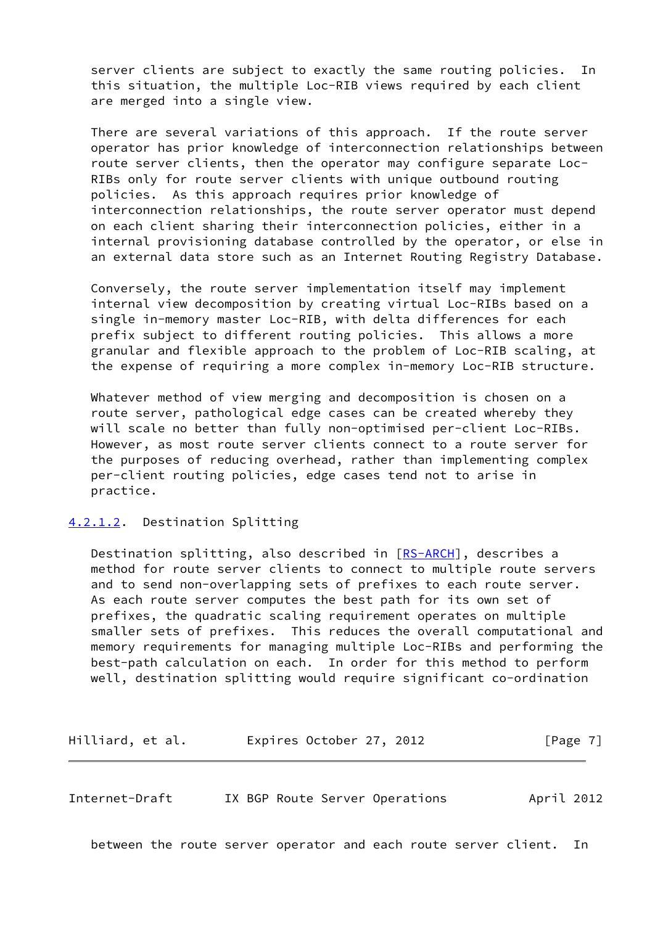server clients are subject to exactly the same routing policies. In this situation, the multiple Loc-RIB views required by each client are merged into a single view.

 There are several variations of this approach. If the route server operator has prior knowledge of interconnection relationships between route server clients, then the operator may configure separate Loc- RIBs only for route server clients with unique outbound routing policies. As this approach requires prior knowledge of interconnection relationships, the route server operator must depend on each client sharing their interconnection policies, either in a internal provisioning database controlled by the operator, or else in an external data store such as an Internet Routing Registry Database.

 Conversely, the route server implementation itself may implement internal view decomposition by creating virtual Loc-RIBs based on a single in-memory master Loc-RIB, with delta differences for each prefix subject to different routing policies. This allows a more granular and flexible approach to the problem of Loc-RIB scaling, at the expense of requiring a more complex in-memory Loc-RIB structure.

 Whatever method of view merging and decomposition is chosen on a route server, pathological edge cases can be created whereby they will scale no better than fully non-optimised per-client Loc-RIBs. However, as most route server clients connect to a route server for the purposes of reducing overhead, rather than implementing complex per-client routing policies, edge cases tend not to arise in practice.

<span id="page-7-0"></span>[4.2.1.2](#page-7-0). Destination Splitting

 Destination splitting, also described in [\[RS-ARCH](#page-12-2)], describes a method for route server clients to connect to multiple route servers and to send non-overlapping sets of prefixes to each route server. As each route server computes the best path for its own set of prefixes, the quadratic scaling requirement operates on multiple smaller sets of prefixes. This reduces the overall computational and memory requirements for managing multiple Loc-RIBs and performing the best-path calculation on each. In order for this method to perform well, destination splitting would require significant co-ordination

Hilliard, et al. **Expires October 27, 2012** [Page 7]

<span id="page-7-1"></span>Internet-Draft IX BGP Route Server Operations April 2012

between the route server operator and each route server client. In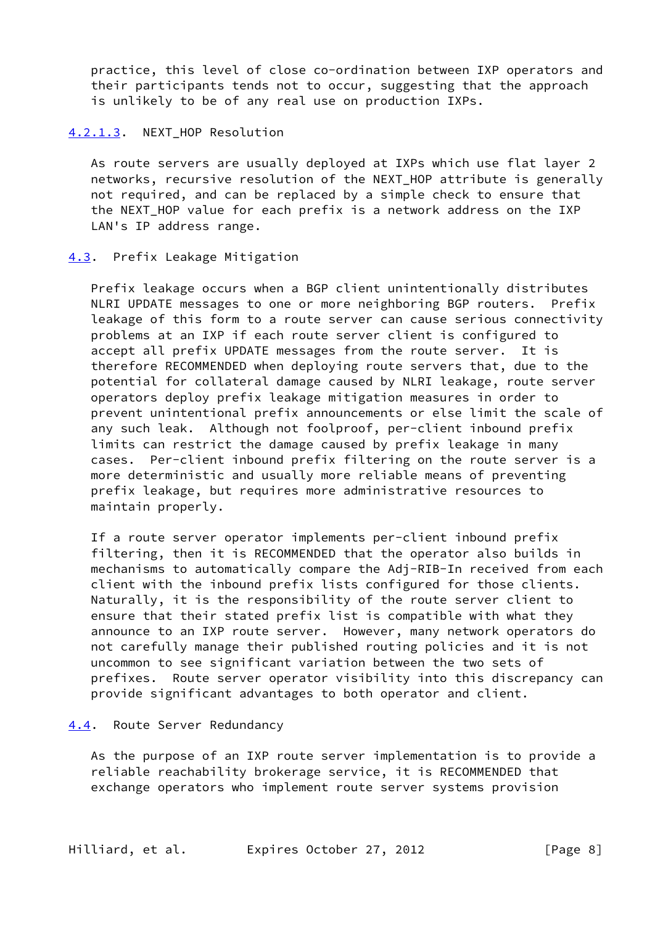practice, this level of close co-ordination between IXP operators and their participants tends not to occur, suggesting that the approach is unlikely to be of any real use on production IXPs.

### <span id="page-8-0"></span>[4.2.1.3](#page-8-0). NEXT\_HOP Resolution

 As route servers are usually deployed at IXPs which use flat layer 2 networks, recursive resolution of the NEXT\_HOP attribute is generally not required, and can be replaced by a simple check to ensure that the NEXT\_HOP value for each prefix is a network address on the IXP LAN's IP address range.

## <span id="page-8-1"></span>[4.3](#page-8-1). Prefix Leakage Mitigation

 Prefix leakage occurs when a BGP client unintentionally distributes NLRI UPDATE messages to one or more neighboring BGP routers. Prefix leakage of this form to a route server can cause serious connectivity problems at an IXP if each route server client is configured to accept all prefix UPDATE messages from the route server. It is therefore RECOMMENDED when deploying route servers that, due to the potential for collateral damage caused by NLRI leakage, route server operators deploy prefix leakage mitigation measures in order to prevent unintentional prefix announcements or else limit the scale of any such leak. Although not foolproof, per-client inbound prefix limits can restrict the damage caused by prefix leakage in many cases. Per-client inbound prefix filtering on the route server is a more deterministic and usually more reliable means of preventing prefix leakage, but requires more administrative resources to maintain properly.

 If a route server operator implements per-client inbound prefix filtering, then it is RECOMMENDED that the operator also builds in mechanisms to automatically compare the Adj-RIB-In received from each client with the inbound prefix lists configured for those clients. Naturally, it is the responsibility of the route server client to ensure that their stated prefix list is compatible with what they announce to an IXP route server. However, many network operators do not carefully manage their published routing policies and it is not uncommon to see significant variation between the two sets of prefixes. Route server operator visibility into this discrepancy can provide significant advantages to both operator and client.

### <span id="page-8-2"></span>[4.4](#page-8-2). Route Server Redundancy

 As the purpose of an IXP route server implementation is to provide a reliable reachability brokerage service, it is RECOMMENDED that exchange operators who implement route server systems provision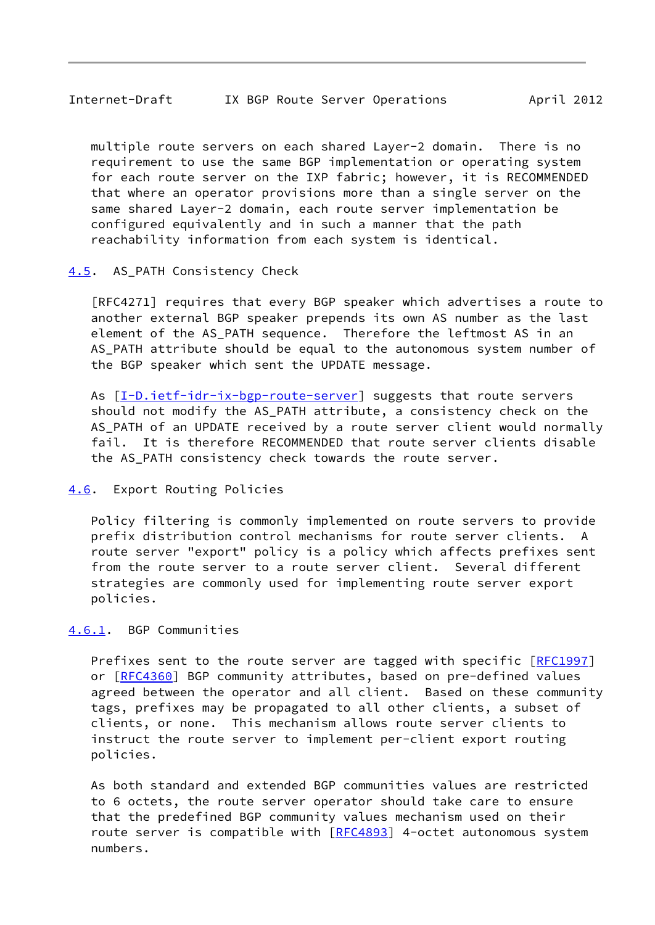<span id="page-9-1"></span> multiple route servers on each shared Layer-2 domain. There is no requirement to use the same BGP implementation or operating system for each route server on the IXP fabric; however, it is RECOMMENDED that where an operator provisions more than a single server on the same shared Layer-2 domain, each route server implementation be configured equivalently and in such a manner that the path reachability information from each system is identical.

## <span id="page-9-0"></span>[4.5](#page-9-0). AS PATH Consistency Check

 [RFC4271] requires that every BGP speaker which advertises a route to another external BGP speaker prepends its own AS number as the last element of the AS\_PATH sequence. Therefore the leftmost AS in an AS\_PATH attribute should be equal to the autonomous system number of the BGP speaker which sent the UPDATE message.

As  $[I-D.ietf-idr-ix-bgp-route-server]$  $[I-D.ietf-idr-ix-bgp-route-server]$  suggests that route servers should not modify the AS PATH attribute, a consistency check on the AS PATH of an UPDATE received by a route server client would normally fail. It is therefore RECOMMENDED that route server clients disable the AS PATH consistency check towards the route server.

### <span id="page-9-2"></span>[4.6](#page-9-2). Export Routing Policies

 Policy filtering is commonly implemented on route servers to provide prefix distribution control mechanisms for route server clients. A route server "export" policy is a policy which affects prefixes sent from the route server to a route server client. Several different strategies are commonly used for implementing route server export policies.

# <span id="page-9-3"></span>[4.6.1](#page-9-3). BGP Communities

Prefixes sent to the route server are tagged with specific [[RFC1997\]](https://datatracker.ietf.org/doc/pdf/rfc1997) or [[RFC4360\]](https://datatracker.ietf.org/doc/pdf/rfc4360) BGP community attributes, based on pre-defined values agreed between the operator and all client. Based on these community tags, prefixes may be propagated to all other clients, a subset of clients, or none. This mechanism allows route server clients to instruct the route server to implement per-client export routing policies.

 As both standard and extended BGP communities values are restricted to 6 octets, the route server operator should take care to ensure that the predefined BGP community values mechanism used on their route server is compatible with [\[RFC4893](https://datatracker.ietf.org/doc/pdf/rfc4893)] 4-octet autonomous system numbers.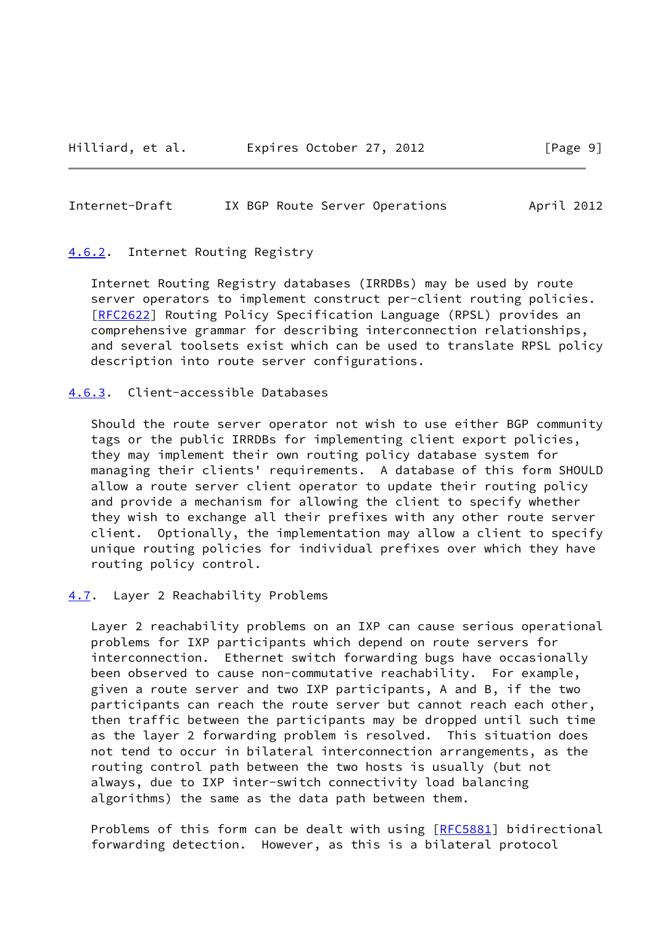### <span id="page-10-1"></span>Internet-Draft IX BGP Route Server Operations April 2012

### <span id="page-10-0"></span>[4.6.2](#page-10-0). Internet Routing Registry

 Internet Routing Registry databases (IRRDBs) may be used by route server operators to implement construct per-client routing policies. [\[RFC2622](https://datatracker.ietf.org/doc/pdf/rfc2622)] Routing Policy Specification Language (RPSL) provides an comprehensive grammar for describing interconnection relationships, and several toolsets exist which can be used to translate RPSL policy description into route server configurations.

# <span id="page-10-2"></span>[4.6.3](#page-10-2). Client-accessible Databases

 Should the route server operator not wish to use either BGP community tags or the public IRRDBs for implementing client export policies, they may implement their own routing policy database system for managing their clients' requirements. A database of this form SHOULD allow a route server client operator to update their routing policy and provide a mechanism for allowing the client to specify whether they wish to exchange all their prefixes with any other route server client. Optionally, the implementation may allow a client to specify unique routing policies for individual prefixes over which they have routing policy control.

### <span id="page-10-3"></span>[4.7](#page-10-3). Layer 2 Reachability Problems

 Layer 2 reachability problems on an IXP can cause serious operational problems for IXP participants which depend on route servers for interconnection. Ethernet switch forwarding bugs have occasionally been observed to cause non-commutative reachability. For example, given a route server and two IXP participants, A and B, if the two participants can reach the route server but cannot reach each other, then traffic between the participants may be dropped until such time as the layer 2 forwarding problem is resolved. This situation does not tend to occur in bilateral interconnection arrangements, as the routing control path between the two hosts is usually (but not always, due to IXP inter-switch connectivity load balancing algorithms) the same as the data path between them.

Problems of this form can be dealt with using [[RFC5881](https://datatracker.ietf.org/doc/pdf/rfc5881)] bidirectional forwarding detection. However, as this is a bilateral protocol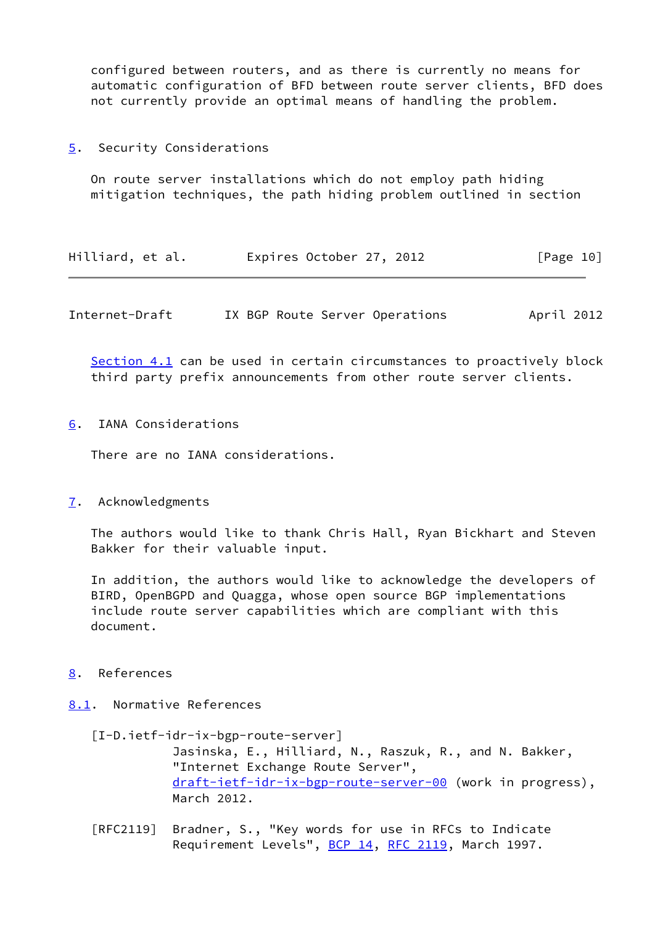configured between routers, and as there is currently no means for automatic configuration of BFD between route server clients, BFD does not currently provide an optimal means of handling the problem.

<span id="page-11-0"></span>[5](#page-11-0). Security Considerations

 On route server installations which do not employ path hiding mitigation techniques, the path hiding problem outlined in section

| Hilliard, et al. | Expires October 27, 2012 |  | [Page 10] |
|------------------|--------------------------|--|-----------|
|------------------|--------------------------|--|-----------|

<span id="page-11-2"></span>Internet-Draft IX BGP Route Server Operations April 2012

 [Section 4.1](#page-5-1) can be used in certain circumstances to proactively block third party prefix announcements from other route server clients.

<span id="page-11-1"></span>[6](#page-11-1). IANA Considerations

There are no IANA considerations.

<span id="page-11-3"></span>[7](#page-11-3). Acknowledgments

 The authors would like to thank Chris Hall, Ryan Bickhart and Steven Bakker for their valuable input.

 In addition, the authors would like to acknowledge the developers of BIRD, OpenBGPD and Quagga, whose open source BGP implementations include route server capabilities which are compliant with this document.

- <span id="page-11-4"></span>[8](#page-11-4). References
- <span id="page-11-6"></span><span id="page-11-5"></span>[8.1](#page-11-5). Normative References
	- [I-D.ietf-idr-ix-bgp-route-server] Jasinska, E., Hilliard, N., Raszuk, R., and N. Bakker, "Internet Exchange Route Server", [draft-ietf-idr-ix-bgp-route-server-00](https://datatracker.ietf.org/doc/pdf/draft-ietf-idr-ix-bgp-route-server-00) (work in progress), March 2012.
	- [RFC2119] Bradner, S., "Key words for use in RFCs to Indicate Requirement Levels", [BCP 14](https://datatracker.ietf.org/doc/pdf/bcp14), [RFC 2119](https://datatracker.ietf.org/doc/pdf/rfc2119), March 1997.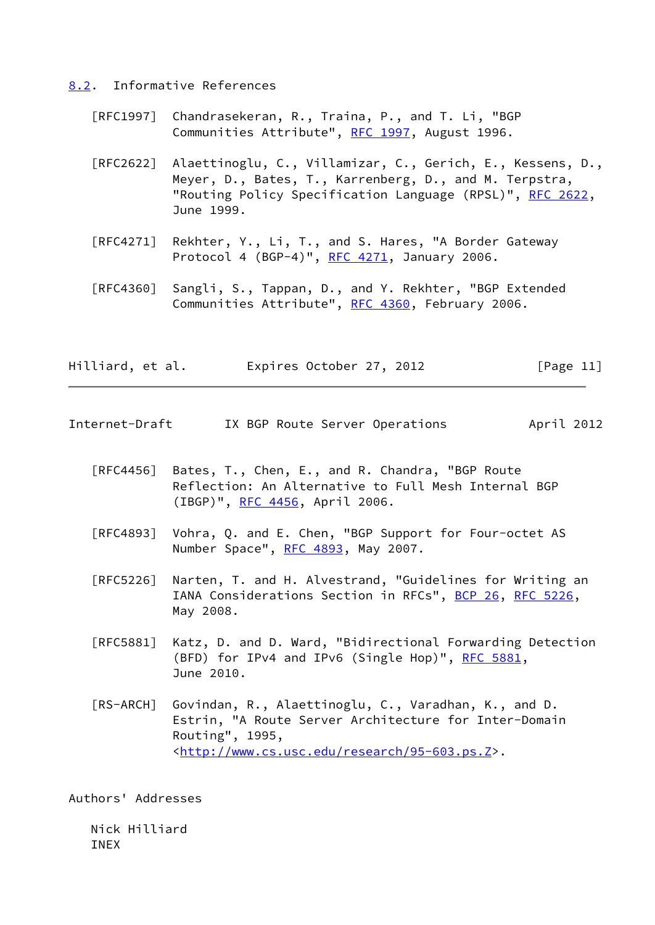### <span id="page-12-0"></span>[8.2](#page-12-0). Informative References

- [RFC1997] Chandrasekeran, R., Traina, P., and T. Li, "BGP Communities Attribute", [RFC 1997,](https://datatracker.ietf.org/doc/pdf/rfc1997) August 1996.
- [RFC2622] Alaettinoglu, C., Villamizar, C., Gerich, E., Kessens, D., Meyer, D., Bates, T., Karrenberg, D., and M. Terpstra, "Routing Policy Specification Language (RPSL)", [RFC 2622,](https://datatracker.ietf.org/doc/pdf/rfc2622) June 1999.
- [RFC4271] Rekhter, Y., Li, T., and S. Hares, "A Border Gateway Protocol 4 (BGP-4)", [RFC 4271](https://datatracker.ietf.org/doc/pdf/rfc4271), January 2006.
- [RFC4360] Sangli, S., Tappan, D., and Y. Rekhter, "BGP Extended Communities Attribute", [RFC 4360,](https://datatracker.ietf.org/doc/pdf/rfc4360) February 2006.

| Hilliard, et al. | Expires October 27, 2012 | [Page 11] |
|------------------|--------------------------|-----------|
|------------------|--------------------------|-----------|

- <span id="page-12-1"></span>Internet-Draft IX BGP Route Server Operations April 2012
	- [RFC4456] Bates, T., Chen, E., and R. Chandra, "BGP Route Reflection: An Alternative to Full Mesh Internal BGP (IBGP)", [RFC 4456,](https://datatracker.ietf.org/doc/pdf/rfc4456) April 2006.
	- [RFC4893] Vohra, Q. and E. Chen, "BGP Support for Four-octet AS Number Space", [RFC 4893](https://datatracker.ietf.org/doc/pdf/rfc4893), May 2007.
	- [RFC5226] Narten, T. and H. Alvestrand, "Guidelines for Writing an IANA Considerations Section in RFCs", [BCP 26](https://datatracker.ietf.org/doc/pdf/bcp26), [RFC 5226](https://datatracker.ietf.org/doc/pdf/rfc5226), May 2008.
	- [RFC5881] Katz, D. and D. Ward, "Bidirectional Forwarding Detection (BFD) for IPv4 and IPv6 (Single Hop)", [RFC 5881](https://datatracker.ietf.org/doc/pdf/rfc5881), June 2010.
	- [RS-ARCH] Govindan, R., Alaettinoglu, C., Varadhan, K., and D. Estrin, "A Route Server Architecture for Inter-Domain Routing", 1995, <[http://www.cs.usc.edu/research/95-603.ps.Z>](http://www.cs.usc.edu/research/95-603.ps.Z).

<span id="page-12-2"></span>Authors' Addresses

 Nick Hilliard INEX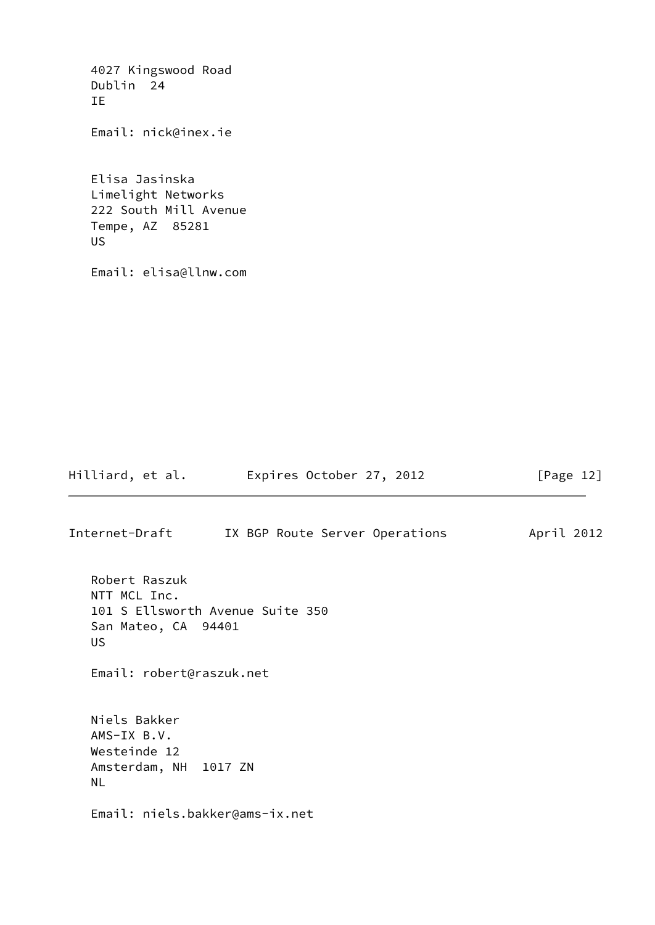4027 Kingswood Road Dublin 24 IE Email: nick@inex.ie Elisa Jasinska Limelight Networks 222 South Mill Avenue Tempe, AZ 85281 US Email: elisa@llnw.com Hilliard, et al. **Expires October 27, 2012** [Page 12] Internet-Draft IX BGP Route Server Operations April 2012 Robert Raszuk NTT MCL Inc. 101 S Ellsworth Avenue Suite 350 San Mateo, CA 94401

 US Email: robert@raszuk.net Niels Bakker AMS-IX B.V. Westeinde 12 Amsterdam, NH 1017 ZN NL Email: niels.bakker@ams-ix.net